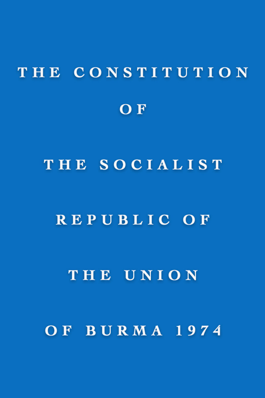# THE CONSTITUTION OF THE SOCIALIST REPUBLIC OF THE UNION OF BURMA 1974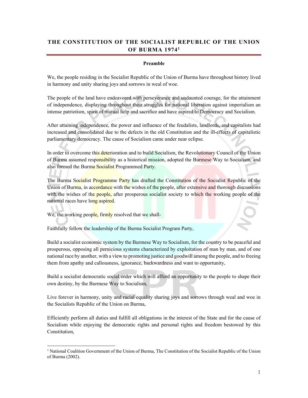# **THE CONSTITUTION OF THE SOCIALIST REPUBLIC OF THE UNION OF BURMA 19741**

#### **Preamble**

We, the people residing in the Socialist Republic of the Union of Burma have throughout history lived in harmony and unity sharing joys and sorrows in weal of woe.

The people of the land have endeavored with perseverance and undaunted courage, for the attainment of independence, displaying throughout their struggles for national liberation against imperialism an intense patriotism, spirit of mutual help and sacrifice and have aspired to Democracy and Socialism.

After attaining independence, the power and influence of the feudalists, landlords, and capitalists had increased and consolidated due to the defects in the old Constitution and the ill-effects of capitalistic parliamentary democracy. The cause of Socialism came under near eclipse.

In order to overcome this deterioration and to build Socialism, the Revolutionary Council of the Union of Burma assumed responsibility as a historical mission, adopted the Burmese Way to Socialism, and also formed the Burma Socialist Programmed Party.

The Burma Socialist Programme Party has drafted the Constitution of the Socialist Republic of the Union of Burma, in accordance with the wishes of the people, after extensive and thorough discussions with the wishes of the people, after prosperous socialist society to which the working people of the national races have long aspired.

We, the working people, firmly resolved that we shall-

 $\overline{a}$ 

Faithfully follow the leadership of the Burma Socialist Program Party,

Build a socialist economic system by the Burmese Way to Socialism, for the country to be peaceful and prosperous, opposing all pernicious systems characterized by exploitation of man by man, and of one national race by another, with a view to promoting justice and goodwill among the people, and to freeing them from apathy and callousness, ignorance, backwardness and want to opportunity,

Build a socialist democratic social order which will afford an opportunity to the people to shape their own destiny, by the Burmese Way to Socialism,

Live forever in harmony, unity and racial equality sharing joys and sorrows through weal and woe in the Socialists Republic of the Union on Burma,

Efficiently perform all duties and fulfill all obligations in the interest of the State and for the cause of Socialism while enjoying the democratic rights and personal rights and freedom bestowed by this Constitution,

<sup>&</sup>lt;sup>1</sup> National Coalition Government of the Union of Burma, The Constitution of the Socialist Republic of the Union of Burma (2002).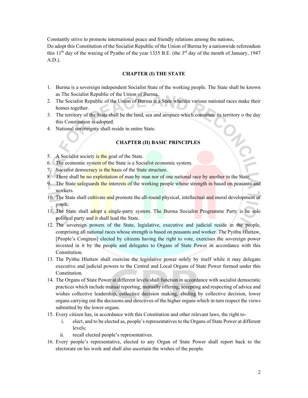Constantly strive to promote international peace and friendly relations among the nations, Do adopt this Constitution of the Socialist Republic of the Union of Burma by a nationwide referendum this 11<sup>th</sup> day of the waxing of Pyatho of the year 1335 B.E. (the 3<sup>rd</sup> day of the month of January, 1947 A.D.).

#### **CHAPTER (I) THE STATE**

- 1. Burma is a sovereign independent Socialist State of the working people. The State shall be known as The Socialist Republic of the Union of Burma.
- 2. The Socialist Republic of the Union of Burma is a State wherein various national races make their homes together.
- 3. The territory of the State shall be the land, sea and airspace which constitute its territory o the day this Constitution is adopted.
- 4. National sovereignty shall reside in entire State.

# **CHAPTER (II) BASIC PRINCIPLES**

- 5. A Socialist society is the goal of the State.
- 6. The economic system of the State is a Socialist economic system.
- 7. Socialist democracy is the basis of the State structure.
- 8. There shall be no exploitation of man by man nor of one national race by another in the State.
- 9. The State safeguards the interests of the working people whose strength in based on peasants and workers.
- 10. The State shall cultivate and promote the all-round physical, intellectual and moral development of youth.
- 11. The State shall adopt a single-party system. The Burma Socialist Programme Party is he sole political party and it shall lead the State.
- 12. The sovereign powers of the State, legislative, executive and judicial reside in the people, comprising all national races whose strength is based on peasants and worker. The Pyithu Hluttaw, [People's Congress] elected by citizens having the right to vote, exercises the sovereign power invested in it by the people and delegates to Organs of State Power in accordance with this Constitution.
- 13. The Pyithu Hluttaw shall exercise the legislative power solely by itself while it may delegate executive and judicial powers to the Central and Local Organs of State Power formed under this Constitution.
- 14. The Organs of State Power at different levels shall function in accordance with socialist democratic practices which include mutual reporting, mutually offering, accepting and respecting of advice and wishes collective leadership, collective decision making, abiding by collective decision, lower organs carrying out the decisions and directives of the higher organs which in turn respect the views submitted by the lower organs.
- 15. Every citizen has, in accordance with this Constitution and other relevant laws, the right to
	- i. elect, and to be elected as, people's representatives to the Organs of State Power at different levels;
	- ii. recall elected people's representatives.
- 16. Every people's representative, elected to any Organ of State Power shall report back to the electorate on his work and shall also ascertain the wishes of the people.

22.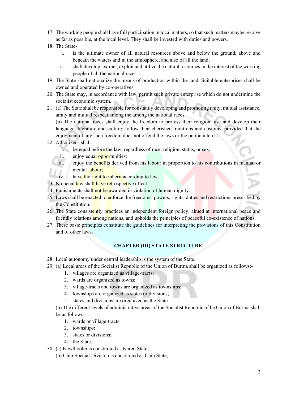- 17. The working people shall have full participation in local matters, so that such matters maybe resolve as far as possible, at the local level. They shall be invested with duties and powers.
- 18. The State
	- i. is the ultimate owner of all natural resources above and below the ground, above and beneath the waters and in the atmosphere, and also of all the land;
	- ii. shall develop, extract, exploit and utilize the natural resources in the interest of the working people of all the national races.
- 19. The State shall nationalize the means of production within the land. Suitable enterprises shall be owned and operated by co-operatives.
- 20. The State may, in accordance with law, permit such private enterprise which do not undermine the socialist economic system.
- 21. (a) The State shall be responsible for constantly developing and promoting unity, mutual assistance, amity and mutual respect among the among the national races.

(b) The national races shall enjoy the freedom to profess their religion, use and develop their language, literature and culture; follow their cherished traditions and customs, provided that the enjoyment of any such freedom does not offend the laws or the public interest.

- 22. All citizens shall
	- i. be equal before the law, regardless of race, religion, status, or sex;
	- ii. enjoy equal opportunities;
	- iii. enjoy the benefits derived from his labour in proportion to his contributions in manual or mental labour;
	- have the right to inherit according to law.
- 23. No penal law shall have retrospective effect.
- 24. Punishments shall not be awarded in violation of human dignity.
- 25. Laws shall be enacted to enforce the freedoms, powers, rights, duties and restrictions prescribed by the Constitution.
- 26. The State consistently practices an independent foreign policy, aimed at international peace and friendly relations among nations, and upholds the principles of peaceful co-existence of nations.
- 27. These basic principles constitute the guidelines for interpreting the provisions of this Constitution and of other laws.

# **CHAPTER (III) STATE STRUCTURE**

- 28. Local autonomy under central leadership is the system of the State.
- 29. (a) Local areas of the Socialist Republic of the Union of Burma shall be organized as follows:-
	- 1. villages are organized as village-tracts;
	- 2. wards are organized as towns;
	- 3. village-tracts and towns are organized as townships;
	- 4. townships are organized as states or divisions;
	- 5. states and divisions are organized as the State.
	- (b) The different levels of administrative areas of the Socialist Republic of he Union of Burma shall be as follows:-
		- 1. wards or village-tracts;
		- 2. townships;
		- 3. states or divisions;
		- 4. the State.
- 30. (a) Kawthoolei is constituted as Karen State;
	- (b) Chin Special Division is constituted as Chin State;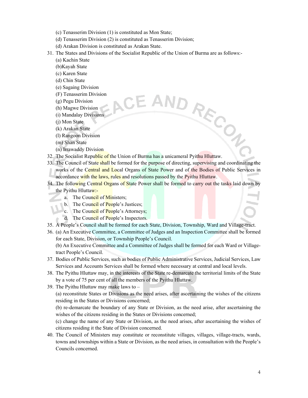- (c) Tenasserim Division (1) is constituted as Mon State;
- (d) Tenasserim Division (2) is constituted as Tenasserim Division;
- (d) Arakan Division is constituted as Arakan State.
- 31. The States and Divisions of the Socialist Republic of the Union of Burma are as follows:-
	- (a) Kachin State
	- (b)Kayah State
	- (c) Karen State
	- (d) Chin State
	- (e) Sagaing Division
	- (F) Tenasserim Division
	- (g) Pegu Division
	- (h) Magwe Division
	- (i) Mandalay Divisions
	- (j) Mon State
	- (k) Arakan State
	- (l) Rangoon Division
	- (m) Shan State
	- (n) Irrawaddy Division
- AND RECTION 32. The Socialist Republic of the Union of Burma has a unicameral Pyithu Hluttaw.
- 33. The Council of State shall be formed for the purpose of directing, supervising and coordinating the works of the Central and Local Organs of State Power and of the Bodies of Public Services in accordance with the laws, rules and resolutions passed by the Pyithu Hluttaw.
- 34. The following Central Organs of State Power shall be formed to carry out the tasks laid down by the Pyithu Hluttaw:
	- a. The Council of Ministers;
	- b. The Council of People's Justices;
	- c. The Council of People's Attorneys;
	- d. The Council of People's Inspectors.
- 35. A People's Council shall be formed for each State, Division, Township, Ward and Village-tract.
- 36. (a) An Executive Committee, a Committee of Judges and an Inspection Committee shall be formed for each State, Division, or Township People's Council.

(b) An Executive Committee and a Committee of Judges shall be formed for each Ward or Villagetract People's Council.

- 37. Bodies of Public Services, such as bodies of Public Administrative Services, Judicial Services, Law Services and Accounts Services shall be formed where necessary at central and local levels.
- 38. The Pyithu Hluttaw may, in the interests of the State re-demarcate the territorial limits of the State by a vote of 75 per cent of all the members of the Pyithu Hluttaw.
- 39. The Pyithu Hluttaw may make laws to –

(a) reconstitute States or Divisions as the need arises, after ascertaining the wishes of the citizens residing in the States or Divisions concerned;

(b) re-demarcate the boundary of any State or Division, as the need arise, after ascertaining the wishes of the citizens residing in the States or Divisions concerned;

(c) change the name of any State or Division, as the need arises, after ascertaining the wishes of citizens residing it the State of Division concerned.

40. The Council of Ministers may constitute or reconstitute villages, villages, village-tracts, wards, towns and townships within a State or Division, as the need arises, in consultation with the People's Councils concerned.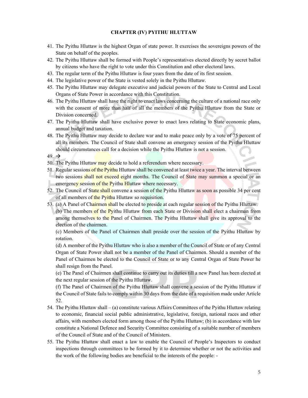#### **CHAPTER (IV) PYITHU HLUTTAW**

- 41. The Pyithu Hluttaw is the highest Organ of state power. It exercises the sovereigns powers of the State on behalf of the peoples.
- 42. The Pyithu Hluttaw shall be formed with People's representatives elected directly by secret ballot by citizens who have the right to vote under this Constitution and other electoral laws.
- 43. The regular term of the Pyithu Hluttaw is four years from the date of its first session.
- 44. The legislative power of the State is vested solely in the Pyithu Hluttaw.
- 45. The Pyithu Hluttaw may delegate executive and judicial powers of the State to Central and Local Organs of State Power in accordance with this Constitution.
- 46. The Pyithu Hluttaw shall have the right to enact laws concerning the culture of a national race only with the consent of more than half of all the members of the Pyithu Hluttaw from the State or Division concerned.
- 47. The Pyithu Hluttaw shall have exclusive power to enact laws relating to State economic plans, annual budget and taxation.
- 48. The Pyithu Hluttaw may decide to declare war and to make peace only by a vote of 75 percent of all its members. The Council of State shall convene an emergency session of the Pyithu Hluttaw should circumstances call for a decision while the Pyithu Hluttaw is not a session.

 $49. \rightarrow$ 

- 50. The Pyithu Hluttaw may decide to hold a referendum where necessary.
- 51. Regular sessions of the Pyithu Hluttaw shall be convened at least twice a year. The interval between two sessions shall not exceed eight months. The Council of State may summon a special or an emergency session of the Pyithu Hluttaw where necessary.
- 52. The Council of State shall convene a session of the Pyithu Hluttaw as soon as possible 34 per cent of all members of the Pyithu Hluttaw so requisition.
- 53. (a) A Panel of Chairmen shall be elected to preside at each regular session of the Pyithu Hluttaw. (b) The members of the Pyithu Hluttaw from each State or Division shall elect a chairman from among themselves to the Panel of Chairmen. The Pyithu Hluttaw shall give its approval to the election of the chairmen.

(c) Members of the Panel of Chairmen shall preside over the session of the Pyithu Hluttaw by rotation.

(d) A member of the Pyithu Hluttaw who is also a member of the Council of State or of any Central Organ of State Power shall not be a member of the Panel of Chairmen. Should a member of the Panel of Chairmen be elected to the Council of State or to any Central Organ of State Power he shall resign from the Panel.

(e) The Panel of Chairmen shall continue to carry out its duties till a new Panel has been elected at the next regular session of the Pyithu Hluttaw.

(f) The Panel of Chairmen of the Pyithu Hluttaw shall convene a session of the Pyithu Hluttaw if the Council of State fails to comply within 30 days from the date of a requisition made under Article 52.

- 54. The Pyithu Hluttaw shall (a) constitute various Affairs Committees of the Pyithu Hluttaw relating to economic, financial social public administrative, legislative, foreign, national races and other affairs, with members elected form among those of the Pyithu Hluttaw; (b) in accordance with law constitute a National Defence and Security Committee consisting of a suitable number of members of the Council of State and of the Council of Ministers.
- 55. The Pyithu Hluttaw shall enact a law to enable the Council of People's Inspectors to conduct inspections through committees to be formed by it to determine whether or not the activities and the work of the following bodies are beneficial to the interests of the people: -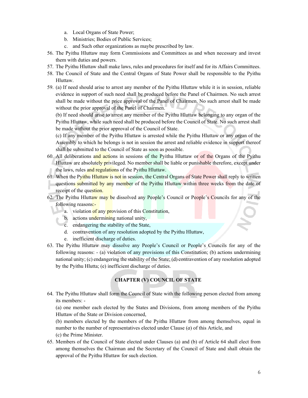- a. Local Organs of State Power;
- b. Ministries; Bodies of Public Services;
- c. and Such other organizations as maybe prescribed by law.
- 56. The Pyithu Hluttaw may form Commissions and Committees as and when necessary and invest them with duties and powers.
- 57. The Pyithu Hluttaw shall make laws, rules and procedures for itself and for its Affairs Committees.
- 58. The Council of State and the Central Organs of State Power shall be responsible to the Pyithu Hluttaw.
- 59. (a) If need should arise to arrest any member of the Pyithu Hluttaw while it is in session, reliable evidence in support of such need shall be produced before the Panel of Chairmen. No such arrest shall be made without the price approval of the Panel of Chairmen. No such arrest shall be made without the prior approval of the Panel of Chairmen.

(b) If need should arise to arrest any member of the Pyithu Hluttaw belonging to any organ of the Pyithu Hluttaw, while such need shall be produced before the Council of State. No such arrest shall be made without the prior approval of the Council of State.

(c) If any member of the Pyithu Hluttaw is arrested while the Pyithu Hluttaw or any organ of the Assembly to which he belongs is not in session the arrest and reliable evidence in support thereof shall be submitted to the Council of State as soon as possible.

- 60. All deliberations and actions in sessions of the Pyithu Hluttaw or of the Organs of the Pyithu Hluttaw are absolutely privileged. No member shall be liable or punishable therefore, except under the laws, rules and regulations of the Pyithu Hluttaw.
- 61. When the Pyithu Hluttaw is not in session, the Central Organs of State Power shall reply to written questions submitted by any member of the Pyithu Hluttaw within three weeks from the date of receipt of the question.
- 62. The Pyithu Hluttaw may be dissolved any People's Council or People's Councils for any of the following reasons:
	- a. violation of any provision of this Constitution,
	- b. actions undermining national unity,
	- c. endangering the stability of the State,
		- d. contravention of any resolution adopted by the Pyithu Hluttaw,
		- e. inefficient discharge of duties.
- 63. The Pyithu Hluttaw may dissolve any People's Council or People's Councils for any of the following reasons: - (a) violation of any provisions of this Constitution; (b) actions undermining national unity; (c) endangering the stability of the State; (d) contravention of any resolution adopted by the Pyithu Hlutta; (e) inefficient discharge of duties.

# **CHAPTER (V) COUNCIL OF STATE**

64. The Pyithu Hluttaw shall form the Council of State with the following person elected from among its members: -

(a) one member each elected by the States and Divisions, from among members of the Pyithu Hluttaw of the State or Division concerned,

(b) members elected by the members of the Pyithu Hluttaw from among themselves, equal in number to the number of representatives elected under Clause (*a*) of this Article, and (c) the Prime Minister.

65. Members of the Council of State elected under Clauses (a) and (b) of Article 64 shall elect from among themselves the Chairman and the Secretary of the Council of State and shall obtain the approval of the Pyithu Hluttaw for such election.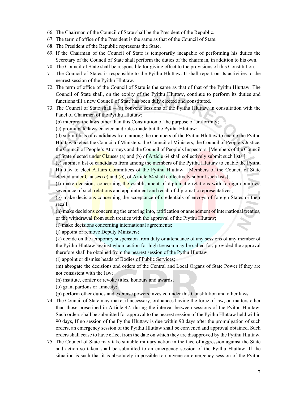- 66. The Chairman of the Council of State shall be the President of the Republic.
- 67. The term of office of the President is the same as that of the Council of State.
- 68. The President of the Republic represents the State.
- 69. If the Chairman of the Council of State is temporarily incapable of performing his duties the Secretary of the Council of State shall perform the duties of the chairman, in addition to his own.
- 70. The Council of State shall be responsible for giving effect to the provisions of this Constitution.
- 71. The Council of States is responsible to the Pyithu Hluttaw. It shall report on its activities to the nearest session of the Pyithu Hluttaw.
- 72. The term of office of the Council of State is the same as that of that of the Pyithu Hluttaw. The Council of State shall, on the expiry of the Pyithu Hluttaw, continue to perform its duties and functions till a new Council of State has been duly elected and constituted.
- 73. The Council of State shall (a) convene sessions of the Pyithu Hluttaw in consultation with the Panel of Chairmen of the Pyithu Hluttaw;
	- (b) interpret the laws other than this Constitution of the purpose of uniformity;
	- (c) promulgate laws enacted and rules made but the Pyithu Hluttaw;
	- (d) submit lists of candidates from among the members of the Pyithu Hluttaw to enable the Pyithu Hluttaw to elect the Council of Ministers, the Council of Ministers, the Council of People's Justice, the Council of People's Attorneys and the Council of People's Inspectors. [Members of the Council of State elected under Clauses (a) and (b) of Article 64 shall collectively submit such lists.];
	- (e) submit a list of candidates from among the members of the Pyithu Hluttaw to enable the Pyithu
	- Hluttaw to elect Affairs Committees of the Pyithu Hluttaw [Members of the Council of State elected under Clauses (*a*) and (*b*), of Article 64 shall collectively submit such lists];
	- (f) make decisions concerning the establishment of diplomatic relations with foreign countries, severance of such relations and appointment and recall of diplomatic representatives;
	- (g) make decisions concerning the acceptance of credentials of envoys of foreign States or their recall;
	- (h) make decisions concerning the entering into, ratification or amendment of international treaties, or the withdrawal from such treaties with the approval of the Piythu Hluttaw;
	- (i) make decisions concerning international agreements;
	- (j) appoint or remove Deputy Ministers;
	- (k) decide on the temporary suspension from duty or attendance of any sessions of any member of the Pyithu Hluttaw against whom action for high treason may be called for, provided the approval therefore shall be obtained from the nearest session of the Pythu Hluttaw;
	- (l) appoint or dismiss heads of Bodies of Public Services;
	- (m) abrogate the decisions and orders of the Central and Local Organs of State Power if they are not consistent with the law;
	- (n) institute, confer or revoke titles, honours and awards;
	- (o) grant pardons or amnesty;
	- (p) perform other duties and exercise powers invested under this Constitution and other laws.
- 74. The Council of State may make, if necessary, ordnances having the force of law, on matters other than those prescribed in Article 47, during the interval between sessions of the Pyithu Hluttaw. Such orders shall be submitted for approval to the nearest session of the Pyithu Hluttaw held within 90 days, If no session of the Pyithu Hluttaw is due within 90 days after the promulgation of such orders, an emergency session of the Pyithu Hluttaw shall be convened and approval obtained. Such orders shall cease to have effect from the date on which they are disapproved by the Pyithu Hluttaw.
- 75. The Council of State may take suitable military action in the face of aggression against the State and action so taken shall be submitted to an emergency session of the Pyithu Hluttaw. If the situation is such that it is absolutely impossible to convene an emergency session of the Pyithu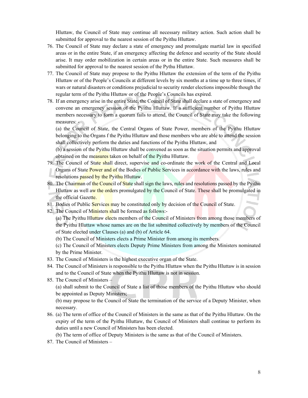Hluttaw, the Council of State may continue all necessary military action. Such action shall be submitted for approval to the nearest session of the Pyithu Hluttaw.

- 76. The Council of State may declare a state of emergency and promulgate martial law in specified areas or in the entire State, if an emergency affecting the defence and security of the State should arise. It may order mobilization in certain areas or in the entire State. Such measures shall be submitted for approval to the nearest session of the Pythu Hluttaw.
- 77. The Council of State may propose to the Pyithu Hluttaw the extension of the term of the Pyithu Hluttaw or of the People's Councils at different levels by six months at a time up to three times, if wars or natural disasters or conditions prejudicial to security render elections impossible though the regular term of the Pyithu Hluttaw or of the People's Councils has expired.
- 78. If an emergency arise in the entire State, the Council of State shall declare a state of emergency and convene an emergency session of the Pyithu Hluttaw. If a sufficient number of Pyithu Hluttaw members necessary to form a quorum fails to attend, the Council of State may take the following measures: -

(a) the Council of State, the Central Organs of State Power, members of the Pyithu Hluttaw belonging to the Organs f the Pyithu Hluttaw and those members who are able to attend the session shall collectively perform the duties and functions of the Pyithu Hluttaw, and

(b) a session of the Pyithu Hluttaw shall be convened as soon as the situation permits and approval obtained on the measures taken on behalf of the Pyithu Hluttaw.

- 79. The Council of State shall direct, supervise and co-ordinate the work of the Central and Local Organs of State Power and of the Bodies of Public Services in accordance with the laws, rules and resolutions passed by the Pyithu Hluttaw.
- 80. The Chairman of the Council of State shall sign the laws, rules and resolutions passed by the Pyithu Hluttaw as well aw the orders promulgated by the Council of State. These shall be promulgated in the official Gazette.
- 81. Bodies of Public Services may be constituted only by decision of the Council of State.
- 82. The Council of Ministers shall be formed as follows:-
	- (a) The Pyithu Hluttaw elects members of the Council of Ministers from among those members of the Pyithu Hluttaw whose names are on the list submitted collectively by members of the Council of State elected under Clauses (a) and (b) of Article 64.
	- (b) The Council of Ministers elects a Prime Minister from among its members.

(c) The Council of Ministers elects Deputy Prime Ministers from among the Ministers nominated by the Prime Minister.

- 83. The Council of Ministers is the highest executive organ of the State.
- 84. The Council of Ministers is responsible to the Pyithu Hluttaw when the Pyithu Hluttaw is in session and to the Council of State when the Pyithu Hluttaw is not in session.
- 85. The Council of Ministers –

(a) shall submit to the Council of State a list of those members of the Pyithu Hluttaw who should be appointed as Deputy Ministers;

(b) may propose to the Council of State the termination of the service of a Deputy Minister, when necessary.

86. (a) The term of office of the Council of Ministers in the same as that of the Pyithu Hluttaw. On the expiry of the term of the Pyithu Hluttaw, the Council of Ministers shall continue to perform its duties until a new Council of Ministers has been elected.

(b) The term of office of Deputy Ministers is the same as that of the Council of Ministers.

87. The Council of Ministers –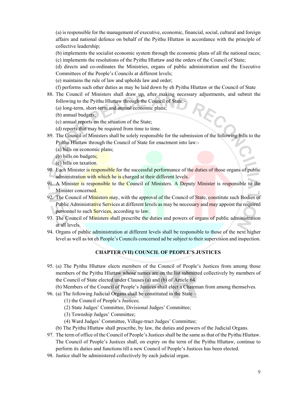(a) is responsible for the management of executive, economic, financial, social, cultural and foreign affairs and national defence on behalf of the Pyithu Hluttaw in accordance with the principle of collective leadership;

- (b) implements the socialist economic system through the economic plans of all the national races;
- (c) implements the resolutions of the Pyithu Hluttaw and the orders of the Council of State;
- (d) directs and co-ordinates the Ministries, organs of public administration and the Executive Committees of the People's Councils at different levels;
- (e) maintains the rule of law and upholds law and order;
- (f) performs such other duties as may be laid down by eh Pyithu Hluttaw or the Council of State

RE

- 88. The Council of Ministers shall draw up, after making necessary adjustments, and submit the following to the Pyithu Hluttaw through the Council of State:-
	- (a) long-term, short-term and annual economic plans;
	- (b) annual budgets;
	- (c) annual reports on the situation of the State;
	- (d) reports that may be required from time to time.
- 89. The Council of Ministers shall be solely responsible for the submission of the following bills to the Pyithu Hluttaw through the Council of State for enactment into law:-
	- (a) bills on economic plans;
	- (b) bills on budgets;
	- (c) bills on taxation.
- 90. Each Minister is responsible for the successful performance of the duties of those organs of public administration with which he is charged at their different levels.
- 91. A Minister is responsible to the Council of Ministers. A Deputy Minister is responsible to the Minister concerned.
- 92. The Council of Ministers may, with the approval of the Council of State, constitute such Bodies of Public Administrative Services at different levels as may be necessary and may appoint the required personnel to such Services, according to law.
- 93. The Council of Ministers shall prescribe the duties and powers of organs of public administration at all levels.
- 94. Organs of public administration at different levels shall be responsible to those of the next higher level as well as tot eh People's Councils concerned ad be subject to their supervision and inspection.

# **CHAPTER (VII) COUNCIL OF PEOPLE'S JUSTICES**

- 95. (a) The Pyithu Hluttaw elects members of the Council of People's Justices from among those members of the Pyithu Hluttaw whose names are on the list submitted collectively by members of the Council of State elected under Clauses (a) and (b) of Article 64.
	- (b) Members of the Council of People's Justices shall elect a Chairman from among themselves.
- 96. (a) The following Judicial Organs shall be constituted in the State
	- (1) the Council of People's Justices;
	- (2) State Judges' Committee, Divisional Judges' Committee;
	- (3) Township Judges' Committee;
	- (4) Ward Judges' Committee, Village-tract Judges' Committee;
	- (b) The Pyithu Hluttaw shall prescribe, by law, the duties and powers of the Judicial Organs.
- 97. The term of office of the Council of People's Justices shall be the same as that of the Pyithu Hluttaw. The Council of People's Justices shall, on expiry on the term of the Pyithu Hluttaw, continue to perform its duties and functions till a new Council of People's Justices has been elected.
- 98. Justice shall be administered collectively by each judicial organ.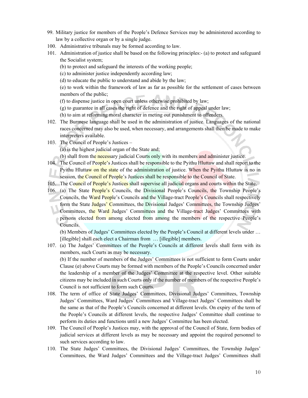- 99. Military justice for members of the People's Defence Services may be administered according to law by a collective organ or by a single judge.
- 100. Administrative tribunals may be formed according to law.
- 101. Administration of justice shall be based on the following principles:- (a) to protect and safeguard the Socialist system;
	- (b) to protect and safeguard the interests of the working people;
	- (c) to administer justice independently according law;
	- (d) to educate the public to understand and abide by the law;

(e) to work within the framework of law as far as possible for the settlement of cases between members of the public;

- (f) to dispense justice in open court unless otherwise prohibited by law;
- (g) to guarantee in all cases the right of defence and the right of appeal under law;
- (h) to aim at reforming moral character in meting out punishment to offenders.
- 102. The Burmese language shall be used in the administration of justice. Languages of the national races concerned may also be used, when necessary, and arrangements shall then be made to make interpreters available.
- 103. The Council of People's Justices
	- (a) is the highest judicial organ of the State and;
	- (b) shall from the necessary judicial Courts only with its members and administer justice.
- 104. The Council of People's Justices shall be responsible to the Pyithu Hluttaw and shall report to the Pyithu Hluttaw on the state of the administration of justice. When the Pyithu Hluttaw is no in session, the Council of People's Justices shall be responsible to the Council of State.
- 105. The Council of People's Justices shall supervise all judicial organs and courts within the State.
- 106. (a) The State People's Councils, the Divisional People's Councils, the Township People's Councils, the Ward People's Councils and the Village-tract People's Councils shall respectively form the State Judges' Committees, the Divisional Judges' Committees, the Township Judges' Committees, the Ward Judges' Committees and the Village-tract Judges' Committees with persons elected from among elected from among the members of the respective People's Councils.

(b) Members of Judges' Committees elected by the People's Council at different levels under … [illegible] shall each elect a Chairman from ... [illegible] members.

- 107. (a) The Judges' Committees of the People's Councils at different levels shall form with its members, such Courts as may be necessary. (b) If the number of members of the Judges' Committees is not sufficient to form Courts under Clause (*a*) above Courts may be formed with members of the People's Councils concerned under the leadership of a member of the Judges' Committee at the respective level. Other suitable citizens may be included in such Courts only if the number of members of the respective People's Council is not sufficient to form such Courts.
- 108. The term of office of State Judges' Committees, Divisional Judges' Committees, Township Judges' Committees, Ward Judges' Committees and Village-tract Judges' Committees shall be the same as that of the People's Councils concerned at different levels. On expiry of the term of the People's Councils at different levels, the respective Judges' Committee shall continue to perform its duties and functions until a new Judges' Committee has been elected.
- 109. The Council of People's Justices may, with the approval of the Council of State, form bodies of judicial services at different levels as may be necessary and appoint the required personnel to such services according to law.
- 110. The State Judges' Committees, the Divisional Judges' Committees, the Township Judges' Committees, the Ward Judges' Committees and the Village-tract Judges' Committees shall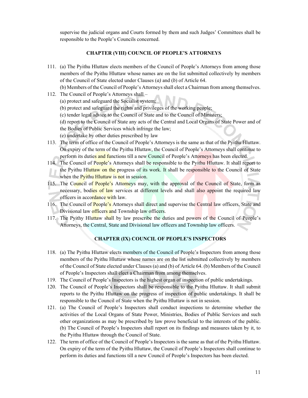supervise the judicial organs and Courts formed by them and such Judges' Committees shall be responsible to the People's Councils concerned.

#### **CHAPTER (VIII) COUNCIL OF PEOPLE'S ATTORNEYS**

111. (a) The Pyithu Hluttaw elects members of the Council of People's Attorneys from among those members of the Pyithu Hluttaw whose names are on the list submitted collectively by members of the Council of State elected under Clauses (*a)* and (*b*) of Article 64.

(b) Members of the Council of People's Attorneys shall elect a Chairman from among themselves.

- 112. The Council of People's Attorneys shall
	- (a) protect and safeguard the Socialist system;
	- (b) protect and safeguard the rights and privileges of the working people;
	- (c) tender legal advice to the Council of State and to the Council of Ministers;

(d) report to the Council of State any acts of the Central and Local Organs of State Power and of the Bodies of Public Services which infringe the law;

- (e) undertake by other duties prescribed by law
- 113. The term of office of the Council of People's Attorneys is the same as that of the Pyithu Hluttaw. On expiry of the term of the Pyithu Hluttaw, the Council of People's Attorneys shall continue to perform its duties and functions till a new Council of People's Attorneys has been elected.
- 114. The Council of People's Attorneys shall be responsible to the Pyithu Hluttaw. It shall report to the Pyithu Hluttaw on the progress of its work. It shall be responsible to the Council of State when the Pyithu Hluttaw is not in session.
- 115. The Council of People's Attorneys may, with the approval of the Council of State, form as necessary, bodies of law services at different levels and shall also appoint the required law officers in accordance with law.
- 116. The Council of People's Attorneys shall direct and supervise the Central law officers, State and Divisional law officers and Township law officers.
- 117. The Pyithy Hluttaw shall by law prescribe the duties and powers of the Council of People's Attorneys, the Central, State and Divisional law officers and Township law officers.

# **CHAPTER (IX) COUNCIL OF PEOPLE'S INSPECTORS**

- 118. (a) The Pyithu Hluttaw elects members of the Council of People's Inspectors from among those members of the Pyithu Hluttaw whose names are on the list submitted collectively by members of the Council of State elected under Clauses (a) and (b) of Article 64. (b) Members of the Council of People's Inspectors shall elect a Chairman from among themselves.
- 119. The Council of People's Inspectors is the highest organ of inspection of public undertakings.
- 120. The Council of People's Inspectors shall be responsible to the Pyithu Hluttaw. It shall submit reports to the Pyithu Hluttaw on the progress of inspection of public undertakings. It shall be responsible to the Council of State when the Pyithu Hluttaw is not in session.
- 121. (a) The Council of People's Inspectors shall conduct inspections to determine whether the activities of the Local Organs of State Power, Ministries, Bodies of Public Services and such other organizations as may be prescribed by law prove beneficial to the interests of the public. (b) The Council of People's Inspectors shall report on its findings and measures taken by it, to the Pyithu Hluttaw through the Council of State.
- 122. The term of office of the Council of People's Inspectors is the same as that of the Pyithu Hluttaw. On expiry of the term of the Pyithu Hluttaw, the Council of People's Inspectors shall continue to perform its duties and functions till a new Council of People's Inspectors has been elected.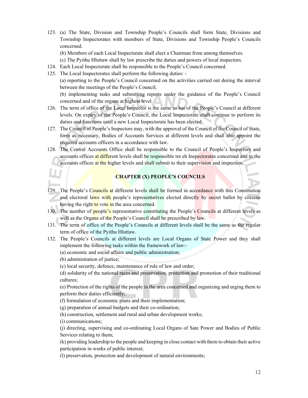- 123. (a) The State, Division and Township People's Councils shall form State, Divisions and Township Inspectorates with members of State, Divisions and Township People's Councils concerned.
	- (b) Members of each Local Inspectorate shall elect a Chairman from among themselves.
	- (c) The Pyithu Hluttaw shall by law prescribe the duties and powers of local inspectors.
- 124. Each Local Inspectorate shall be responsible to the People's Council concerned.
- 125. The Local Inspectorates shall perform the following duties: -

(a) reporting to the People's Council concerned on the activities carried out during the interval between the meetings of the People's Council;

(b) implementing tasks and submitting reports under the guidance of the People's Council concerned and of the organs at highest level.

- 126. The term of office of the Local Inspector is the same as hat of the People's Council at different levels. On expiry of the People's Council, the Local Inspectorate shall continue to perform its duties and functions until a new Local Inspectorate has been elected.
- 127. The Council of People's Inspectors may, with the approval of the Council of the Council of State, form as necessary, Bodies of Accounts Services at different levels and shall also appoint the required accounts officers in a accordance with law.
- 128. The Central Accounts Office shall be responsible to the Council of People's Inspectors and accounts offices at different levels shall be responsible tot eh Inspectorates concerned and to the accounts offices at the higher levels and shall submit to their supervision and inspection.

### **CHAPTER (X) PEOPLE'S COUNCILS**

- 129. The People's Councils at different levels shall be formed in accordance with this Constitution and electoral laws with people's representatives elected directly by secret ballot by citizens having the right to vote in the area concerned.
- 130. The number of **people's** representative constituting the People's Councils at different levels as well as the Organs of the People's Council shall be prescribed by law.
- 131. The term of office of the People's Councils at different levels shall be the same as the regular term of office of the Pyithu Hluttaw.
- 132. The People's Councils at different levels are Local Organs of State Power and they shall implement the following tasks within the framework of law:-
	- (a) economic and social affairs and public administration;
	- (b) administration of justice;
	- (c) local security, defence, maintenance of rule of law and order;

(d) solidarity of the national races and preservation, protection and promotion of their traditional cultures;

(e) Protection of the rights of the people in the area concerned and organizing and urging them to perform their duties efficiently;

(f) formulation of economic plans and their implementation;

(g) preparation of annual budgets and their co-ordination;

(h) construction, settlement and rural and urban development works;

(i) communications;

(j) directing, supervising and co-ordinating Local Organs of Sate Power and Bodies of Public Services relating to them;

(k) providing leadership to the people and keeping in close contact with them to obtain their active participation in works of public interest;

(l) preservation, protection and development of natural environments;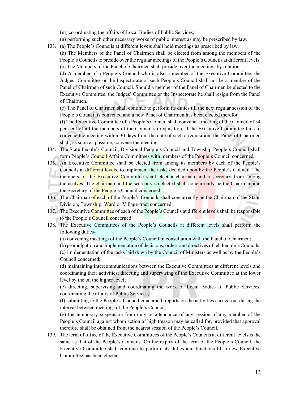(m) co-ordinating the affairs of Local Bodies of Public Services;

(n) performing such other necessary works of public interest as may be prescribed by law.

133. (a) The People's Councils at different levels shall hold meetings as prescribed by law.

(b) The Members of the Panel of Chairmen shall be elected from among the members of the People's Councils to preside over the regular meetings of the People's Councils at different levels. (c) The Members of the Panel of Chairmen shall preside over the meetings by rotation.

(d) A member of a People's Council who is also a member of the Executive Committee, the Judges' Committee or the Inspectorate of such People's Council shall not be a member of the Panel of Chairmen of such Council. Should a member of the Panel of Chairmen be elected to the Executive Committee, the Judges' Committee or the Inspectorate he shall resign from the Panel of Chairmen.

(e) The Panel of Chairmen shall continue to perform its duties till the next regular session of the People's Council is convened and a new Panel of Chairmen has been elected therefor.

(f) The Executive Committee of a People's Council shall convene a meeting of the Council of 34 per cent of all the members of the Council so requisition. If the Executive Committee fails to convene the meeting within 30 days from the date of such a requisition, the Panel of Chairmen shall, as soon as possible, convene the meeting.

- 134. The State People's Council, Divisional People's Council and Township People's Council shall form People's Council Affairs Committees with members of the People's Council concerned.
- 135. An Executive Committee shall be elected from among its members by each of the People's Councils at different levels, to implement the tasks decided upon by the People's Council. The members of the Executive Committee shall elect a chairman and a secretary from among themselves. The chairman and the secretary so elected shall concurrently be the Chairman and the Secretary of the People's Council concerned.
- 136. The Chairman of each of the People's Councils shall concurrently be the Chairman of the State, Division, Township, Ward or Village-tract concerned.
- 137. The Executive Committee of each of the People's Councils at different levels shall be responsible to the People's Council concerned.
- 138. The Executive Committees of the People's Councils at different levels shall perform the following duties-
	- (a) convening meetings of the People's Council in consultation with the Panel of Chairmen;

(b) promulgation and implementation of decisions, orders and directives oft eh People's Councils; (c) implementation of the tasks laid down by the Council of Ministers as well as by the People's

Council concerned;

(d) maintaining intercommunications between the Executive Committees at different levels and coordinating their activities; directing and supervising of the Executive Committee at the lower level by the on the higher level;

(e) directing, supervising and coordinating the work of Local Bodies of Public Services, coordinating the affairs of Public Services;

(f) submitting to the People's Council concerned, reports on the activities carried out during the interval between meetings of the People's Council;

(g) the temporary suspension from duty or attendance of any session of any member of the People's Council against whom action of high treason may be called for, provided that approval therefore shall be obtained from the nearest session of the People's Council.

139. The term of office of the Executive Committees of the People's Councils at different levels is the same as that of the People's Councils. On the expiry of the term of the People's Council, the Executive Committee shall continue to perform its duties and functions till a new Executive Committee has been elected.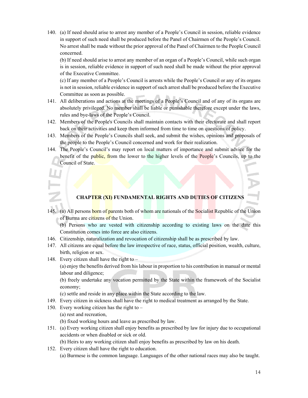140. (a) If need should arise to arrest any member of a People's Council in session, reliable evidence in support of such need shall be produced before the Panel of Chairmen of the People's Council. No arrest shall be made without the prior approval of the Panel of Chairmen to the People Council concerned.

(b) If need should arise to arrest any member of an organ of a People's Council, while such organ is in session, reliable evidence in support of such need shall be made without the prior approval of the Executive Committee.

(c) If any member of a People's Council is arrests while the People's Council or any of its organs is not in session, reliable evidence in support of such arrest shall be produced before the Executive Committee as soon as possible.

- 141. All deliberations and actions at the meetings of a People's Council and of any of its organs are absolutely privileged. No member shall be liable or punishable therefore except under the laws, rules and bye-laws of the People's Council.
- 142. Members of the People's Councils shall maintain contacts with their electorate and shall report back on their activities and keep them informed from time to time on questions of policy.
- 143. Members of the People's Councils shall seek, and submit the wishes, opinions and proposals of the people to the People's Council concerned and work for their realization.
- 144. The People's Council's may report on local matters of importance and submit advice for the benefit of the public, from the lower to the higher levels of the People's Councils, up to the Council of State.

**CHAPTER (XI) FUNDAMENTAL RIGHTS AND DUTIES OF CITIZENS** 

145. (a) All persons born of parents both of whom are nationals of the Socialist Republic of the Union of Burma are citizens of the Union.

(b) Persons who are vested with citizenship according to existing laws on the date this Constitution comes into force are also citizens.

- 146. Citizenship, naturalization and revocation of citizenship shall be as prescribed by law.
- 147. All citizens are equal before the law irrespective of race, status, official position, wealth, culture, birth, religion or sex.
- 148. Every citizen shall have the right to –

(a) enjoy the benefits derived from his labour in proportion to his contribution in manual or mental labour and diligence;

(b) freely undertake any vocation permitted by the State within the framework of the Socialist economy;

(c) settle and reside in any place within the State according to the law.

- 149. Every citizen in sickness shall have the right to medical treatment as arranged by the State.
- 150. Every working citizen has the right to
	- (a) rest and recreation,
	- (b) fixed working hours and leave as prescribed by law.
- 151. (a) Every working citizen shall enjoy benefits as prescribed by law for injury due to occupational accidents or when disabled or sick or old.

(b) Heirs to any working citizen shall enjoy benefits as prescribed by law on his death.

152. Every citizen shall have the right to education. (a) Burmese is the common language. Languages of the other national races may also be taught.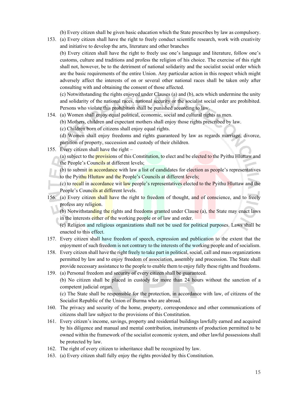(b) Every citizen shall be given basic education which the State prescribes by law as compulsory.

153. (a) Every citizen shall have the right to freely conduct scientific research, work with creativity and initiative to develop the arts, literature and other branches

(b) Every citizen shall have the right to freely use one's language and literature, follow one's customs, culture and traditions and profess the religion of his choice. The exercise of this right shall not, however, be to the detriment of national solidarity and the socialist social order which are the basic requirements of the entire Union. Any particular action in this respect which might adversely affect the interests of on or several other national races shall be taken only after consulting with and obtaining the consent of those affected.

(c) Notwithstanding the rights enjoyed under Clauses (a) and (b), acts which undermine the unity and solidarity of the national races, national security or the socialist social order are prohibited. Persons who violate this prohibition shall be punished according to law.

- 154. (a) Women shall enjoy equal political, economic, social and cultural rights as men.
	- (b) Mothers, children and expectant mothers shall enjoy those rights prescribed by law.

(c) Children born of citizens shall enjoy equal rights.

(d) Women shall enjoy freedoms and rights guaranteed by law as regards marriage, divorce, partition of property, succession and custody of their children.

155. Every citizen shall have the right –

(a) subject to the **provisions** of this Constitution, to elect and be elected to the Pyithu Hluttaw and the People's Councils at different levels;

(b) to submit in accordance with law a list of candidates for election as people's representatives to the Pyithu Hluttaw and the People's Councils at different levels;

(c) to recall in accordance wit law people's representatives elected to the Pyithu Hluttaw and the People's Councils at different levels.

156. (a) Every citizen shall have the right to freedom of thought, and of conscience, and to freely profess any religion.

(b) Notwithstanding the rights and freedoms granted under Clause (a), the State may enact laws in the interests either of the working people or of law and order.

(c) Religion and religious organizations shall not be used for political purposes. Laws shall be enacted to this effect.

- 157. Every citizen shall have freedom of speech, expression and publication to the extent that the enjoyment of such freedom is not contrary to the interests of the working people and of socialism.
- 158. Every citizen shall have the right freely to take part in political, social, call and mass organizations permitted by law and to enjoy freedom of association, assembly and procession. The State shall provide necessary assistance to the people to enable them to enjoy fully these rights and freedoms.
- 159. (a) Personal freedom and security of every citizen shall be guaranteed. (b) No citizen shall be placed in custody for more than 24 hours without the sanction of a competent judicial organ.

(c) The State shall be responsible for the protection, in accordance with law, of citizens of the Socialist Republic of the Union of Burma who are abroad.

- 160. The privacy and security of the home, property, correspondence and other communications of citizens shall law subject to the provisions of this Constitution.
- 161. Every citizen's income, savings, property and residential buildings lawfully earned and acquired by his diligence and manual and mental contribution, instruments of production permitted to be owned within the framework of the socialist economic system, and other lawful possessions shall be protected by law.
- 162. The right of every citizen to inheritance shall be recognized by law.
- 163. (a) Every citizen shall fully enjoy the rights provided by this Constitution.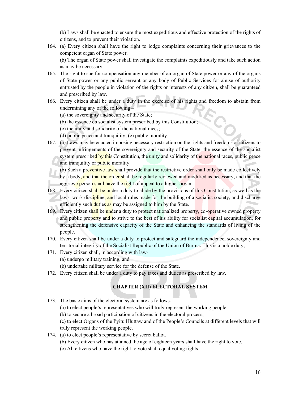(b) Laws shall be enacted to ensure the most expeditious and effective protection of the rights of citizens, and to prevent their violation.

164. (a) Every citizen shall have the right to lodge complaints concerning their grievances to the competent organ of State power.

(b) The organ of State power shall investigate the complaints expeditiously and take such action as may be necessary.

- 165. The right to sue for compensation any member of an organ of State power or any of the organs of State power or any public servant or any body of Public Services for abuse of authority entrusted by the people in violation of the rights or interests of any citizen, shall be guaranteed and prescribed by law.
- 166. Every citizen shall be under a duty in the exercise of his rights and freedom to abstain from undermining any of the following –
	- (a) the sovereignty and security of the State;
	- (b) the essence eh socialist system prescribed by this Constitution;
	- (c) the unity and solidarity of the national races;
	- (d) public peace and tranquility; (e) public morality.
- 167. (a) Laws may be enacted imposing necessary restriction on the rights and freedoms of citizens to prevent infringements of the sovereignty and security of the State, the essence of the socialist system prescribed by this Constitution, the unity and solidarity of the national races, public peace and tranquility or public morality.
	- (b) Such a preventive law shall provide that the restrictive order shall only be made collectively by a body, and that the order shall be regularly reviewed and modified as necessary, and that the aggrieve person shall have the right of appeal to a higher organ.
- 168. Every citizen shall be under a duty to abide by the provisions of this Constitution, as well as the laws, work discipline, and local rules made for the building of a socialist society, and discharge efficiently such duties as may be assigned to him by the State.
- 169. Every citizen shall be under a duty to protect nationalized property, co-operative owned property and public property and to strive to the best of his ability for socialist capital accumulation, for strengthening the defensive capacity of the State and enhancing the standards of living of the people.
- 170. Every citizen shall be under a duty to protect and safeguard the independence, sovereignty and territorial integrity of the Socialist Republic of the Union of Burma. This is a noble duty,
- 171. Every citizen shall, in according with law- (a) undergo military training, and (b) undertake military service for the defense of the State.
- 172. Every citizen shall be under a duty to pay taxes and duties as prescribed by law.

# **CHAPTER (XII) ELECTORAL SYSTEM**

- 173. The basic aims of the electoral system are as follows-
	- (a) to elect people's representatives who will truly represent the working people.
	- (b) to secure a broad participation of citizens in the electoral process;
	- (c) to elect Organs of the Pyitu Hluttaw and of the People's Councils at different levels that will truly represent the working people.
- 174. (a) to elect people's representative by secret ballot.
	- (b) Every citizen who has attained the age of eighteen years shall have the right to vote.
	- (c) All citizens who have the right to vote shall equal voting rights.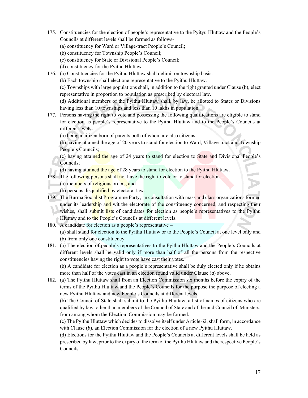- 175. Constituencies for the election of people's representative to the Pyityu Hluttaw and the People's Councils at different levels shall be formed as follows-
	- (a) constituency for Ward or Village-tract People's Council;
	- (b) constituency for Township People's Council;
	- (c) constituency for State or Divisional People's Council;
	- (d) constituency for the Pyithu Hluttaw.
- 176. (a) Constituencies for the Pyithu Hluttaw shall delimit on township basis.
	- (b) Each township shall elect one representative to the Pyithu Hluttaw.

(c) Townships with large populations shall, in addition to the right granted under Clause (b), elect representative in proportion to population as prescribed by electoral law.

(d) Additional members of the Pyithu Hluttaw shall, by law, be allotted to States or Divisions having less than 10 townships and less than 10 lakhs in population.

- 177. Persons having the right to vote and possessing the following qualifications are eligible to stand for election as people's representative to the Pyithu Hluttaw and to the People's Councils at different levels-
	- (a) being a citizen born of parents both of whom are also citizens;

(b) having attained the age of 20 years to stand for election to Ward, Village-tract and Township People's Councils;

- (c) having attained the age of 24 years to stand for election to State and Divisional People's Councils;
- (d) having attained the age of 28 years to stand for election to the Pyithu Hluttaw.
- 178. The following persons shall not have the right to vote or to stand for election
	- (a) members of religious orders, and

(b) persons disqualified by electoral law.

- 179. The Burma Socialist Programme Party, in consultation with mass and class organizations formed under its leadership and wit the electorate of the constituency concerned, and respecting their wishes, shall submit lists of candidates for election as people's representatives to the Pyithu Hluttaw and to the People's Councils at different levels.
- 180. A candidate for election as a people's representative –

(a) shall stand for election to the Pyithu Hluttaw or to the People's Council at one level only and (b) from only one constituency.

181. (a) The election of people's representatives to the Pyithu Hluttaw and the People's Councils at different levels shall be valid only if more than half of all the persons from the respective constituencies having the right to vote have cast their votes.

(b) A candidate for election as a people's representative shall be duly elected only if he obtains more than half of the votes cast in an election found valid under Clause (*a*) above.

182. (a) The Pyithu Hluttaw shall from an Election Commission six months before the expiry of the terms of the Pyithu Hluttaw and the People's Councils for the purpose the purpose of electing a new Pyithu Hluttaw and new People's Councils at different levels.

(b) The Council of State shall submit to the Pyithu Hluttaw, a list of names of citizens who are qualified by law, other than members of the Council of State and of the and Council of Ministers, from among whom the Election Commission may be formed.

(c) The Pyithu Hluttaw which decides to dissolve itself under Article 62, shall form, in accordance with Clause (*b*), an Election Commission for the election of a new Pyithu Hluttaw.

(d) Elections for the Pyithu Hluttaw and the People's Councils at different levels shall be held as prescribed by law, prior to the expiry of the term of the Pyithu Hluttaw and the respective People's Councils.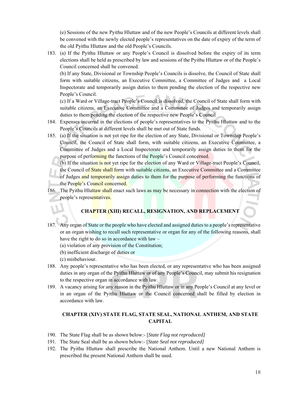(e) Sessions of the new Pyithu Hluttaw and of the new People's Councils at different levels shall be convened with the newly elected people's representatives on the date of expiry of the term of the old Pyithu Hluttaw and the old People's Councils.

183. (a) If the Pyithu Hluttaw or any People's Council is dissolved before the expiry of its term elections shall be held as prescribed by law and sessions of the Pyithu Hluttaw or of the People's Council concerned shall be convened.

(b) If any State, Divisional or Township People's Councils is dissolve, the Council of State shall form with suitable citizens, an Executive Committee, a Committee of Judges and a Local Inspectorate and temporarily assign duties to them pending the election of the respective new People's Council.

(c) If a Ward or Village-tract People's Council is dissolved, the Council of State shall form with suitable citizens, an Executive Committee and a Committee of Judges and temporarily assign duties to them pending the election of the respective new People's Council

- 184. Expenses incurred in the elections of people's representatives to the Pyithu Hluttaw and to the People's Councils at different levels shall be met out of State funds.
- 185. (a) If the situation is not yet ripe for the election of any State, Divisional or Township People's Council, the Council of State shall form, with suitable citizens, an Executive Committee, a Committee of Judges and a Local Inspectorate and temporarily assign duties to them for the purpose of performing the functions of the People's Council concerned.
	- (b) If the situation is not yet ripe for the election of any Ward or Village-tract People's Council, the Council of State shall form with suitable citizens, an Executive Committee and a Committee of Judges and temporarily assign duties to them for the purpose of performing the functions of the People's Council concerned.
- 186. The Pyithu Hluttaw shall enact such laws as may be necessary in connection with the election of people's representatives.

# **CHAPTER (XIII) RECALL, RESIGNATION, AND REPLACEMENT**

- 187. Any organ of State or the people who have elected and assigned duties to a people's representative or an organ wishing to recall such representative or organ for any of the following reasons, shall have the right to do so in accordance with law –
	- (a) violation of any provision of the Constitution;
	- (b) inefficient discharge of duties or
	- (c) misbehaviour.
- 188. Any people's representative who has been elected, or any representative who has been assigned duties in any organ of the Pyithu Hluttaw or of any People's Council, may submit his resignation to the respective organ in accordance with law.
- 189. A vacancy arising for any reason in the Pyithu Hluttaw or in any People's Council at any level or in an organ of the Pyithu Hluttaw or the Council concerned shall be filled by election in accordance with law.

# **CHAPTER (XIV) STATE FLAG, STATE SEAL, NATIONAL ANTHEM, AND STATE CAPITAL**

- 190. The State Flag shall be as shown below:- [*State Flag not reproduced]*
- 191. The State Seal shall be as shown below:- [*State Seal not reproduced]*
- 192. The Pyithu Hluttaw shall prescribe the National Anthem. Until a new National Anthem is prescribed the present National Anthem shall be used.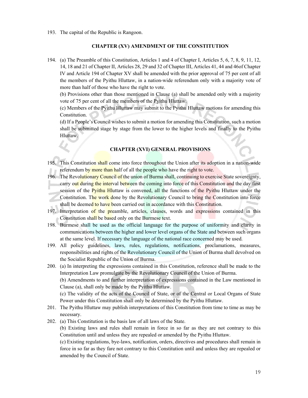193. The capital of the Republic is Rangoon.

#### **CHAPTER (XV) AMENDMENT OF THE CONSTITUTION**

194. (a) The Preamble of this Constitution, Articles 1 and 4 of Chapter I, Articles 5, 6, 7, 8, 9, 11, 12, 14, 18 and 21 of Chapter II, Articles 28, 29 and 32 of Chapter III, Articles 41, 44 and 46of Chapter IV and Article 194 of Chapter XV shall be amended with the prior approval of 75 per cent of all the members of the Pyithu Hluttaw, in a nation-wide referendum only with a majority vote of more than half of those who have the right to vote.

(b) Provisions other than those mentioned in Clause (a) shall be amended only with a majority vote of 75 per cent of all the members of the Pyithu Hluttaw.

(c) Members of the Pyithu Hluttaw may submit to the Pyithu Hluttaw motions for amending this Constitution.

(d) If a People's Council wishes to submit a motion for amending this Constitution, such a motion shall be submitted stage by stage from the lower to the higher levels and finally to the Pyithu Hluttaw.

# **CHAPTER (XVI) GENERAL PROVISIONS**

- 195. This Constitution shall come into force throughout the Union after its adoption in a nation-wide referendum by more than half of all the people who have the right to vote.
- 196. The Revolutionary Council of the union of Burma shall, continuing to exercise State sovereignty, carry out during the interval between the coming into force of this Constitution and the day first session of the Pyithu Hluttaw is convened, all the functions of the Pyithu Hluttaw under the Constitution. The work done by the Revolutionary Council to bring the Constitution into force shall be deemed to have been carried out in accordance with this Constitution.
- 197. Interpretation of the preamble, articles, clauses, words and expressions contained in this Constitution shall be based only on the Burmese text.
- 198. Burmese shall be used as the official language for the purpose of uniformity and clarity in communications between the higher and lower level organs of the State and between such organs at the same level. If necessary the language of the national race concerned may be used.
- 199. All policy guidelines, laws, rules, regulations, notifications, proclamations, measures, responsibilities and rights of the Revolutionary Council of the Union of Burma shall devolved on the Socialist Republic of the Union of Burma.
- 200. (a) In interpreting the expressions contained in this Constitution, reference shall be made to the Interpretation Law promulgate by the Revolutionary Council of the Union of Burma.

(b) Amendments to and further interpretation of expressions contained in the Law mentioned in Clause (a), shall only be made by the Pyithu Hluttaw.

(c) The validity of the acts of the Council of State, or of the Central or Local Organs of State Power under this Constitution shall only be determined by the Pyithu Hluttaw.

- 201. The Pyithu Hluttaw may publish interpretations of this Constitution from time to time as may be necessary.
- 202. (a) This Constitution is the basis law of all laws of the State.

(b) Existing laws and rules shall remain in force in so far as they are not contrary to this Constitution until and unless they are repealed or amended by the Pyithu Hluttaw.

(c) Existing regulations, bye-laws, notification, orders, directives and procedures shall remain in force in so far as they fare not contrary to this Constitution until and unless they are repealed or amended by the Council of State.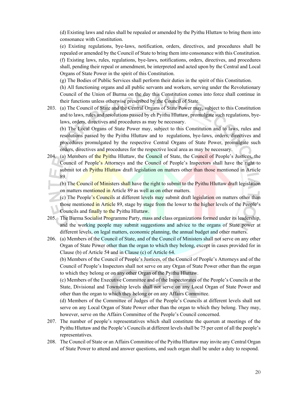(d) Existing laws and rules shall be repealed or amended by the Pyithu Hluttaw to bring them into consonance with Constitution.

(e) Existing regulations, bye-laws, notification, orders, directives, and procedures shall be repealed or amended by the Council of State to bring them into consonance with this Constitution. (f) Existing laws, rules, regulations, bye-laws, notifications, orders, directives, and procedures shall, pending their repeal or amendment, be interpreted and acted upon by the Central and Local Organs of State Power in the spirit of this Constitution.

(g) The Bodies of Public Services shall perform their duties in the spirit of this Constitution.

(h) All functioning organs and all public servants and workers, serving under the Revolutionary Council of the Union of Burma on the day this Constitution comes into force shall continue in their functions unless otherwise prescribed by the Council of State.

203. (a) The Council of State and the Central Organs of State Power may, subject to this Constitution and to laws, rules and resolutions passed by eh Pyithu Hluttaw, promulgate such regulations, byelaws, orders, directives and procedures as may be necessary.

(b) The Local Organs of State Power may, subject to this Constitution and to laws, rules and resolutions passed by the Pyithu Hluttaw and to regulations, bye-laws, orders, directives and procedures promulgated by the respective Central Organs of State Power, promulgate such orders, directives and procedures for the respective local area as may be necessary.

204. (a) Members of the Pyithu Hluttaw, the Council of State, the Council of People's Justices, the Council of People's Attorneys and the Council of People's Inspectors shall have the right to submit tot eh Pyithu Hluttaw draft legislation on matters other than those mentioned in Article 89.

(b) The Council of Ministers shall have the right to submit to the Pyithu Hluttaw draft legislation on matters mentioned in Article 89 as well as on other matters.

- (c) The People's Councils at different levels may submit draft legislation on matters other than those mentioned in Article 89, stage by stage from the lower to the higher levels of the People's Councils and finally to the Pyithu Hluttaw.
- 205. The Burma Socialist Programme Party, mass and class organizations formed under its leadership, and the working people may submit suggestions and advice to the organs of State power at different levels, on legal matters, economic planning, the annual budget and other matters.
- 206. (a) Members of the Council of State, and of the Council of Ministers shall not serve on any other Organ of State Power other than the organ to which they belong, except in cases provided for in Clause (b) of Article 54 and in Clause (c) of Article 64.

(b) Members of the Council of People's Justices, of the Council of People's Attorneys and of the Council of People's Inspectors shall not serve on any Organ of State Power other than the organ to which they belong or on any other Organ of the Pyithu Hluttaw.

(c) Members of the Executive Committee and of the Inspectorates of the People's Councils at the State, Divisional and Township levels shall not serve on any Local Organ of State Power and other than the organ to which they belong or on any Affairs Committee.

(d) Members of the Committee of Judges of the People's Councils at different levels shall not serve on any Local Organ of State Power other than the organ to which they belong. They may, however, serve on the Affairs Committee of the People's Council concerned.

- 207. The number of people's representatives which shall constitute the quorum at meetings of the Pyithu Hluttaw and the People's Councils at different levels shall be 75 per cent of all the people's representatives.
- 208. The Council of State or an Affairs Committee of the Pyithu Hluttaw may invite any Central Organ of State Power to attend and answer questions, and such organ shall be under a duty to respond.